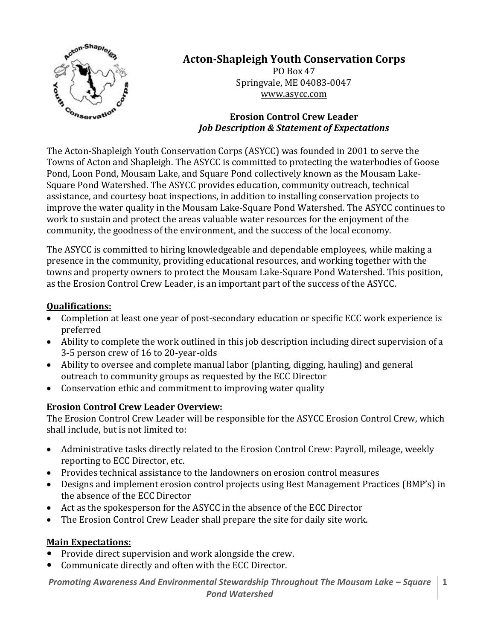

# **Acton-Shapleigh Youth Conservation Corps**

PO Box 47 Springvale, ME 04083-0047 [www.asycc.com](http://www.asycc.com/)

#### **Erosion Control Crew Leader** *Job Description & Statement of Expectations*

The Acton-Shapleigh Youth Conservation Corps (ASYCC) was founded in 2001 to serve the Towns of Acton and Shapleigh. The ASYCC is committed to protecting the waterbodies of Goose Pond, Loon Pond, Mousam Lake, and Square Pond collectively known as the Mousam Lake-Square Pond Watershed. The ASYCC provides education, community outreach, technical assistance, and courtesy boat inspections, in addition to installing conservation projects to improve the water quality in the Mousam Lake-Square Pond Watershed. The ASYCC continues to work to sustain and protect the areas valuable water resources for the enjoyment of the community, the goodness of the environment, and the success of the local economy.

The ASYCC is committed to hiring knowledgeable and dependable employees, while making a presence in the community, providing educational resources, and working together with the towns and property owners to protect the Mousam Lake-Square Pond Watershed. This position, as the Erosion Control Crew Leader, is an important part of the success of the ASYCC.

#### **Qualifications:**

- Completion at least one year of post-secondary education or specific ECC work experience is preferred
- Ability to complete the work outlined in this job description including direct supervision of a 3-5 person crew of 16 to 20-year-olds
- Ability to oversee and complete manual labor (planting, digging, hauling) and general outreach to community groups as requested by the ECC Director
- Conservation ethic and commitment to improving water quality

#### **Erosion Control Crew Leader Overview:**

The Erosion Control Crew Leader will be responsible for the ASYCC Erosion Control Crew, which shall include, but is not limited to:

- Administrative tasks directly related to the Erosion Control Crew: Payroll, mileage, weekly reporting to ECC Director, etc.
- Provides technical assistance to the landowners on erosion control measures
- Designs and implement erosion control projects using Best Management Practices (BMP's) in the absence of the ECC Director
- Act as the spokesperson for the ASYCC in the absence of the ECC Director
- The Erosion Control Crew Leader shall prepare the site for daily site work.

#### **Main Expectations:**

- Provide direct supervision and work alongside the crew.
- Communicate directly and often with the ECC Director.

*Promoting Awareness And Environmental Stewardship Throughout The Mousam Lake - Square Pond Watershed* **1**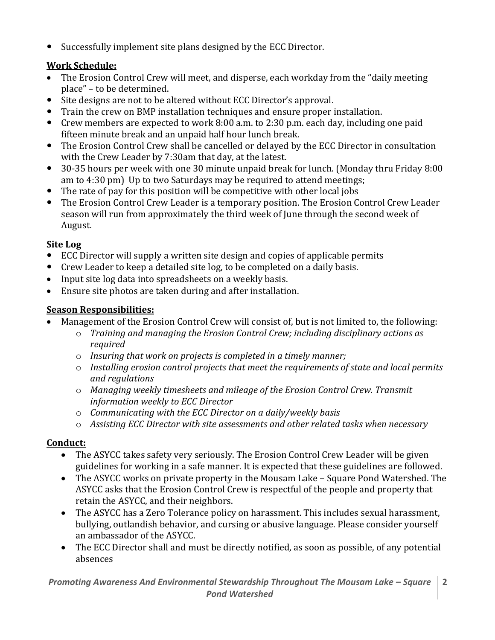Successfully implement site plans designed by the ECC Director.

## **Work Schedule:**

- The Erosion Control Crew will meet, and disperse, each workday from the "daily meeting" place" – to be determined.
- Site designs are not to be altered without ECC Director's approval.
- Train the crew on BMP installation techniques and ensure proper installation.
- Crew members are expected to work 8:00 a.m. to 2:30 p.m. each day, including one paid fifteen minute break and an unpaid half hour lunch break.
- The Erosion Control Crew shall be cancelled or delayed by the ECC Director in consultation with the Crew Leader by 7:30am that day, at the latest.
- 30-35 hours per week with one 30 minute unpaid break for lunch. (Monday thru Friday 8:00 am to 4:30 pm) Up to two Saturdays may be required to attend meetings;
- The rate of pay for this position will be competitive with other local jobs
- The Erosion Control Crew Leader is a temporary position. The Erosion Control Crew Leader season will run from approximately the third week of June through the second week of August.

## **Site Log**

- ECC Director will supply a written site design and copies of applicable permits
- Crew Leader to keep a detailed site log, to be completed on a daily basis.
- Input site log data into spreadsheets on a weekly basis.
- Ensure site photos are taken during and after installation.

## **Season Responsibilities:**

- Management of the Erosion Control Crew will consist of, but is not limited to, the following:
	- o *Training and managing the Erosion Control Crew; including disciplinary actions as required*
	- o *Insuring that work on projects is completed in a timely manner;*
	- o *Installing erosion control projects that meet the requirements of state and local permits and regulations*
	- o *Managing weekly timesheets and mileage of the Erosion Control Crew. Transmit information weekly to ECC Director*
	- o *Communicating with the ECC Director on a daily/weekly basis*
	- o *Assisting ECC Director with site assessments and other related tasks when necessary*

## **Conduct:**

- The ASYCC takes safety very seriously. The Erosion Control Crew Leader will be given guidelines for working in a safe manner. It is expected that these guidelines are followed.
- The ASYCC works on private property in the Mousam Lake Square Pond Watershed. The ASYCC asks that the Erosion Control Crew is respectful of the people and property that retain the ASYCC, and their neighbors.
- The ASYCC has a Zero Tolerance policy on harassment. This includes sexual harassment, bullying, outlandish behavior, and cursing or abusive language. Please consider yourself an ambassador of the ASYCC.
- The ECC Director shall and must be directly notified, as soon as possible, of any potential absences

*Promoting Awareness And Environmental Stewardship Throughout The Mousam Lake – Square Pond Watershed* **2**